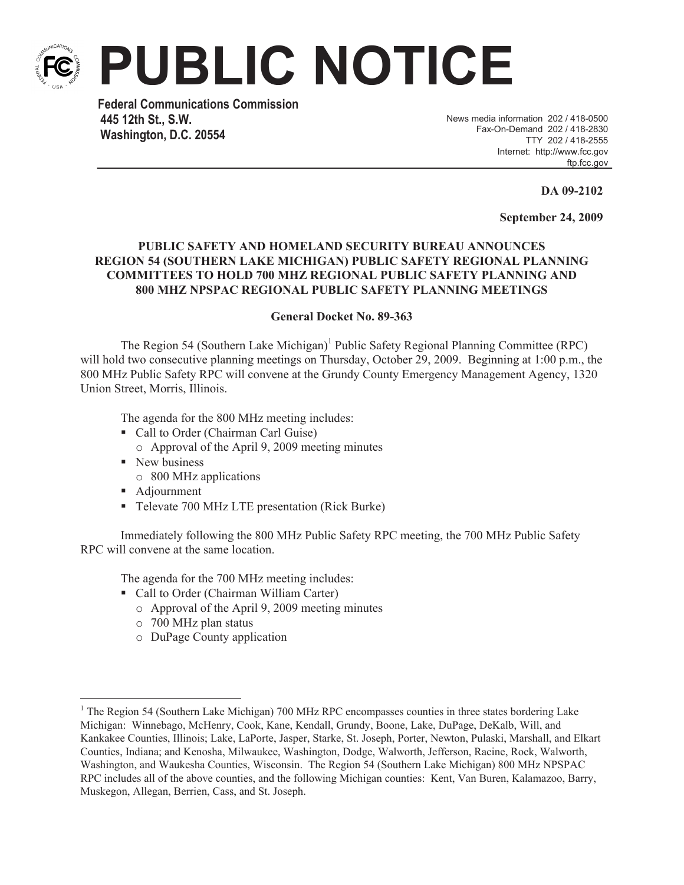

**PUBLIC NOTICE**

**Federal Communications Commission 445 12th St., S.W. Washington, D.C. 20554**

News media information 202 / 418-0500 Fax-On-Demand 202 / 418-2830 TTY 202 / 418-2555 Internet: http://www.fcc.gov ftp.fcc.gov

**DA 09-2102**

**September 24, 2009**

## **PUBLIC SAFETY AND HOMELAND SECURITY BUREAU ANNOUNCES REGION 54 (SOUTHERN LAKE MICHIGAN) PUBLIC SAFETY REGIONAL PLANNING COMMITTEES TO HOLD 700 MHZ REGIONAL PUBLIC SAFETY PLANNING AND 800 MHZ NPSPAC REGIONAL PUBLIC SAFETY PLANNING MEETINGS**

## **General Docket No. 89-363**

The Region 54 (Southern Lake Michigan)<sup>1</sup> Public Safety Regional Planning Committee (RPC) will hold two consecutive planning meetings on Thursday, October 29, 2009. Beginning at 1:00 p.m., the 800 MHz Public Safety RPC will convene at the Grundy County Emergency Management Agency, 1320 Union Street, Morris, Illinois.

The agenda for the 800 MHz meeting includes:

- Call to Order (Chairman Carl Guise)
	- o Approval of the April 9, 2009 meeting minutes
- New business
	- o 800 MHz applications
- Adjournment
- Televate 700 MHz LTE presentation (Rick Burke)

Immediately following the 800 MHz Public Safety RPC meeting, the 700 MHz Public Safety RPC will convene at the same location.

The agenda for the 700 MHz meeting includes:

- Call to Order (Chairman William Carter)
	- o Approval of the April 9, 2009 meeting minutes
	- o 700 MHz plan status
	- o DuPage County application

<sup>&</sup>lt;sup>1</sup> The Region 54 (Southern Lake Michigan) 700 MHz RPC encompasses counties in three states bordering Lake Michigan: Winnebago, McHenry, Cook, Kane, Kendall, Grundy, Boone, Lake, DuPage, DeKalb, Will, and Kankakee Counties, Illinois; Lake, LaPorte, Jasper, Starke, St. Joseph, Porter, Newton, Pulaski, Marshall, and Elkart Counties, Indiana; and Kenosha, Milwaukee, Washington, Dodge, Walworth, Jefferson, Racine, Rock, Walworth, Washington, and Waukesha Counties, Wisconsin. The Region 54 (Southern Lake Michigan) 800 MHz NPSPAC RPC includes all of the above counties, and the following Michigan counties: Kent, Van Buren, Kalamazoo, Barry, Muskegon, Allegan, Berrien, Cass, and St. Joseph.